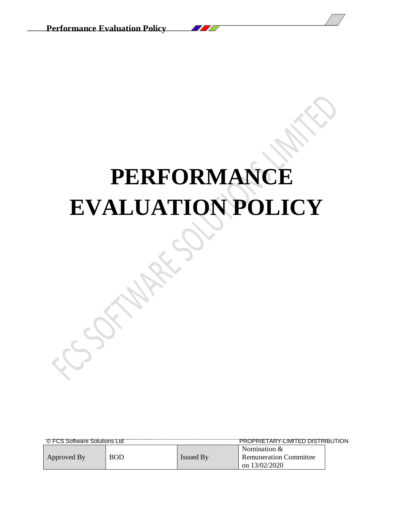# **PERFORMANCE EVALUATION POLICY**

| "© FCS Software Solutions Ltd"" |            |                  | ""PROPRIETARY-LIMITED DISTRIBUTION |  |
|---------------------------------|------------|------------------|------------------------------------|--|
|                                 |            |                  | Nomination $\&$                    |  |
| Approved By                     | <b>BOD</b> | <b>Issued By</b> | <b>Remuneration Committee</b>      |  |
|                                 |            |                  | on $13/02/2020$                    |  |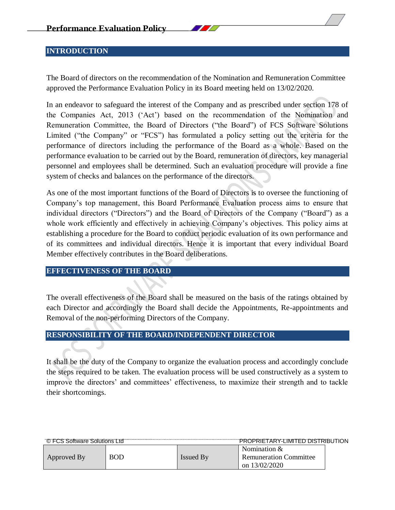### **INTRODUCTION**

The Board of directors on the recommendation of the Nomination and Remuneration Committee approved the Performance Evaluation Policy in its Board meeting held on 13/02/2020.

**AND** 

In an endeavor to safeguard the interest of the Company and as prescribed under section 178 of the Companies Act, 2013 ('Act') based on the recommendation of the Nomination and Remuneration Committee, the Board of Directors ("the Board") of FCS Software Solutions Limited ("the Company" or "FCS") has formulated a policy setting out the criteria for the performance of directors including the performance of the Board as a whole. Based on the performance evaluation to be carried out by the Board, remuneration of directors, key managerial personnel and employees shall be determined. Such an evaluation procedure will provide a fine system of checks and balances on the performance of the directors.

As one of the most important functions of the Board of Directors is to oversee the functioning of Company's top management, this Board Performance Evaluation process aims to ensure that individual directors ("Directors") and the Board of Directors of the Company ("Board") as a whole work efficiently and effectively in achieving Company's objectives. This policy aims at establishing a procedure for the Board to conduct periodic evaluation of its own performance and of its committees and individual directors. Hence it is important that every individual Board Member effectively contributes in the Board deliberations.

**EFFECTIVENESS OF THE BOARD**

The overall effectiveness of the Board shall be measured on the basis of the ratings obtained by each Director and accordingly the Board shall decide the Appointments, Re-appointments and Removal of the non-performing Directors of the Company.

#### **RESPONSIBILITY OF THE BOARD/INDEPENDENT DIRECTOR**

It shall be the duty of the Company to organize the evaluation process and accordingly conclude the steps required to be taken. The evaluation process will be used constructively as a system to improve the directors' and committees' effectiveness, to maximize their strength and to tackle their shortcomings.

| C FCS Software Solutions Ltd |     |                  | "PROPRIETARY-LIMITED DISTRIBUTION |  |
|------------------------------|-----|------------------|-----------------------------------|--|
|                              |     |                  | Nomination $\&$                   |  |
| Approved By                  | BOD | <b>Issued By</b> | <b>Remuneration Committee</b>     |  |
|                              |     |                  | on $13/02/2020$                   |  |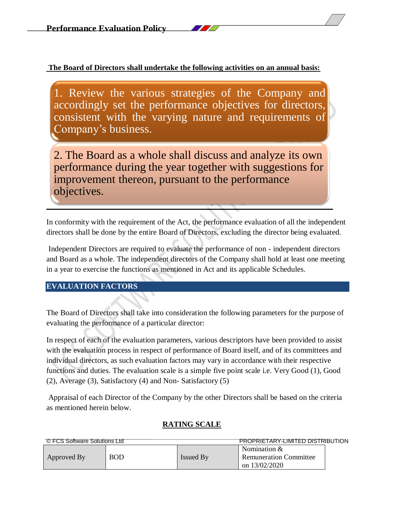**The Board of Directors shall undertake the following activities on an annual basis:** 

1. Review the various strategies of the Company and accordingly set the performance objectives for directors, consistent with the varying nature and requirements of Company's business.

2. The Board as a whole shall discuss and analyze its own performance during the year together with suggestions for improvement thereon, pursuant to the performance objectives.

In conformity with the requirement of the Act, the performance evaluation of all the independent directors shall be done by the entire Board of Directors, excluding the director being evaluated.

Independent Directors are required to evaluate the performance of non - independent directors and Board as a whole. The independent directors of the Company shall hold at least one meeting in a year to exercise the functions as mentioned in Act and its applicable Schedules.

#### **EVALUATION FACTORS**

The Board of Directors shall take into consideration the following parameters for the purpose of evaluating the performance of a particular director:

In respect of each of the evaluation parameters, various descriptors have been provided to assist with the evaluation process in respect of performance of Board itself, and of its committees and individual directors, as such evaluation factors may vary in accordance with their respective functions and duties. The evaluation scale is a simple five point scale i.e. Very Good (1), Good (2), Average (3), Satisfactory (4) and Non- Satisfactory (5)

Appraisal of each Director of the Company by the other Directors shall be based on the criteria as mentioned herein below.

| C FCS Software Solutions Ltd <b>Communications Control and Control Solutions</b> Ltd <b>Control and Control and Control Solutions</b> |            |                  | "PROPRIETARY-LIMITED DISTRIBUTION |  |
|---------------------------------------------------------------------------------------------------------------------------------------|------------|------------------|-----------------------------------|--|
|                                                                                                                                       |            |                  | Nomination $\&$                   |  |
| Approved By                                                                                                                           | <b>BOD</b> | <b>Issued By</b> | <b>Remuneration Committee</b>     |  |
|                                                                                                                                       |            |                  | on $13/02/2020$                   |  |

#### **RATING SCALE**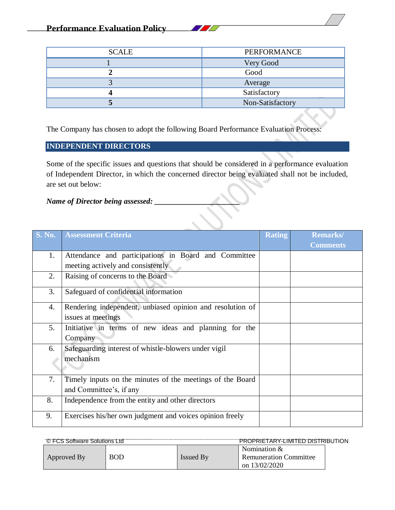**Performance Evaluation Policy** 

| <b>SCALE</b> | PERFORMANCE      |
|--------------|------------------|
|              | Very Good        |
|              | Good             |
|              | Average          |
|              | Satisfactory     |
|              | Non-Satisfactory |

**AND** 

The Company has chosen to adopt the following Board Performance Evaluation Process:

# **INDEPENDENT DIRECTORS**

Some of the specific issues and questions that should be considered in a performance evaluation of Independent Director, in which the concerned director being evaluated shall not be included, are set out below:

*Name of Director being assessed:* 

| <b>S. No.</b> | <b>Assessment Criteria</b>                                | <b>Rating</b> | <b>Remarks/</b> |
|---------------|-----------------------------------------------------------|---------------|-----------------|
|               |                                                           |               | <b>Comments</b> |
| 1.            | Attendance and participations in Board and Committee      |               |                 |
|               | meeting actively and consistently                         |               |                 |
| 2.            | Raising of concerns to the Board                          |               |                 |
| 3.            | Safeguard of confidential information                     |               |                 |
| 4.            | Rendering independent, unbiased opinion and resolution of |               |                 |
|               | issues at meetings                                        |               |                 |
| 5.            | Initiative in terms of new ideas and planning for the     |               |                 |
|               | Company                                                   |               |                 |
| 6.            | Safeguarding interest of whistle-blowers under vigil      |               |                 |
|               | mechanism                                                 |               |                 |
|               |                                                           |               |                 |
| 7.            | Timely inputs on the minutes of the meetings of the Board |               |                 |
|               | and Committee's, if any                                   |               |                 |
| 8.            | Independence from the entity and other directors          |               |                 |
| 9.            | Exercises his/her own judgment and voices opinion freely  |               |                 |

| <b>PROPRIETARY-LIMITED DISTRIBUTION</b> |            |                  |                               |  |
|-----------------------------------------|------------|------------------|-------------------------------|--|
|                                         |            |                  | Nomination $&$                |  |
| Approved By                             | <b>BOD</b> | <b>Issued By</b> | <b>Remuneration Committee</b> |  |
|                                         |            |                  | on $13/02/2020$               |  |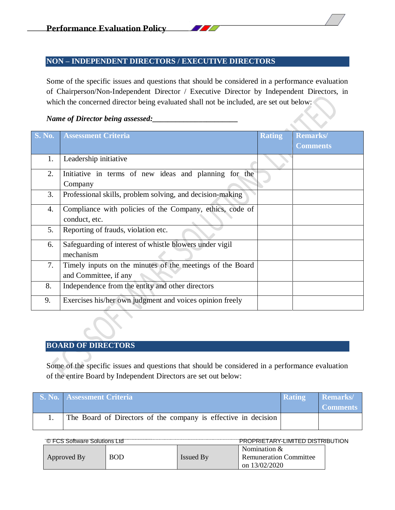# **NON – INDEPENDENT DIRECTORS / EXECUTIVE DIRECTORS**

Some of the specific issues and questions that should be considered in a performance evaluation of Chairperson/Non-Independent Director / Executive Director by Independent Directors, in which the concerned director being evaluated shall not be included, are set out below:

<u>FINIS</u>

#### *Name of Director being assessed:\_\_\_\_\_\_\_\_\_\_\_\_\_\_\_\_\_\_\_\_\_\_*

| <b>S. No.</b> | <b>Assessment Criteria</b>                                | <b>Rating</b> | <b>Remarks</b> / |
|---------------|-----------------------------------------------------------|---------------|------------------|
|               |                                                           |               | <b>Comments</b>  |
| 1.            | Leadership initiative                                     |               |                  |
| 2.            | Initiative in terms of new ideas and planning for the     |               |                  |
|               | Company                                                   |               |                  |
| 3.            | Professional skills, problem solving, and decision-making |               |                  |
| 4.            | Compliance with policies of the Company, ethics, code of  |               |                  |
|               | conduct, etc.                                             |               |                  |
| 5.            | Reporting of frauds, violation etc.                       |               |                  |
| 6.            | Safeguarding of interest of whistle blowers under vigil   |               |                  |
|               | mechanism                                                 |               |                  |
| 7.            | Timely inputs on the minutes of the meetings of the Board |               |                  |
|               | and Committee, if any                                     |               |                  |
| 8.            | Independence from the entity and other directors          |               |                  |
| 9.            | Exercises his/her own judgment and voices opinion freely  |               |                  |

#### **BOARD OF DIRECTORS**

Some of the specific issues and questions that should be considered in a performance evaluation of the entire Board by Independent Directors are set out below:

| <b>S. No. Assessment Criteria</b>                              | <b>Rating</b> | Remarks/<br><b>Comments</b> |
|----------------------------------------------------------------|---------------|-----------------------------|
| The Board of Directors of the company is effective in decision |               |                             |

| "PROPRIETARY-LIMITED DISTRIBUTION |     |                  |                                                                  |  |
|-----------------------------------|-----|------------------|------------------------------------------------------------------|--|
| Approved By                       | ROD | <b>Issued By</b> | Nomination $&$<br><b>Remuneration Committee</b><br>on 13/02/2020 |  |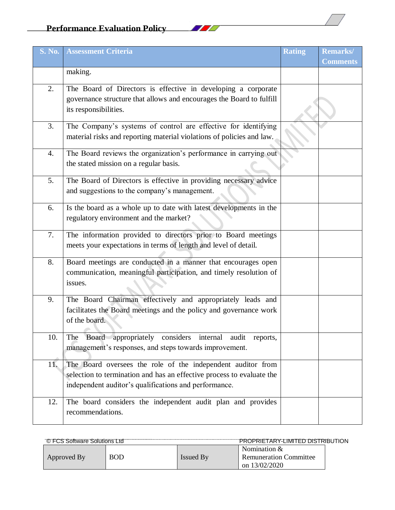# Performance Evaluation Policy

 $\frac{1}{2}$ 

| <b>S. No.</b> | <b>Assessment Criteria</b>                                            | <b>Rating</b> | <b>Remarks/</b> |
|---------------|-----------------------------------------------------------------------|---------------|-----------------|
|               |                                                                       |               | <b>Comments</b> |
|               | making.                                                               |               |                 |
| 2.            | The Board of Directors is effective in developing a corporate         |               |                 |
|               | governance structure that allows and encourages the Board to fulfill  |               |                 |
|               | its responsibilities.                                                 |               |                 |
| 3.            | The Company's systems of control are effective for identifying        |               |                 |
|               | material risks and reporting material violations of policies and law. |               |                 |
| 4.            | The Board reviews the organization's performance in carrying out      |               |                 |
|               | the stated mission on a regular basis.                                |               |                 |
| 5.            | The Board of Directors is effective in providing necessary advice     |               |                 |
|               | and suggestions to the company's management.                          |               |                 |
| 6.            | Is the board as a whole up to date with latest developments in the    |               |                 |
|               | regulatory environment and the market?                                |               |                 |
| 7.            | The information provided to directors prior to Board meetings         |               |                 |
|               | meets your expectations in terms of length and level of detail.       |               |                 |
| 8.            | Board meetings are conducted in a manner that encourages open         |               |                 |
|               | communication, meaningful participation, and timely resolution of     |               |                 |
|               | issues.                                                               |               |                 |
| 9.            | The Board Chairman effectively and appropriately leads and            |               |                 |
|               | facilitates the Board meetings and the policy and governance work     |               |                 |
|               | of the board.                                                         |               |                 |
| 10.           | The Board appropriately considers internal audit<br>reports,          |               |                 |
|               | management's responses, and steps towards improvement.                |               |                 |
|               |                                                                       |               |                 |
| 11.           | The Board oversees the role of the independent auditor from           |               |                 |
|               | selection to termination and has an effective process to evaluate the |               |                 |
|               | independent auditor's qualifications and performance.                 |               |                 |
| 12.           | The board considers the independent audit plan and provides           |               |                 |
|               | recommendations.                                                      |               |                 |
|               |                                                                       |               |                 |

| C FCS Software Solutions Ltd |     |                  | "PROPRIETARY-LIMITED DISTRIBUTION |  |
|------------------------------|-----|------------------|-----------------------------------|--|
|                              |     |                  | Nomination $\&$                   |  |
| Approved By                  | BOD | <b>Issued By</b> | <b>Remuneration Committee</b>     |  |
|                              |     |                  | on $13/02/2020$                   |  |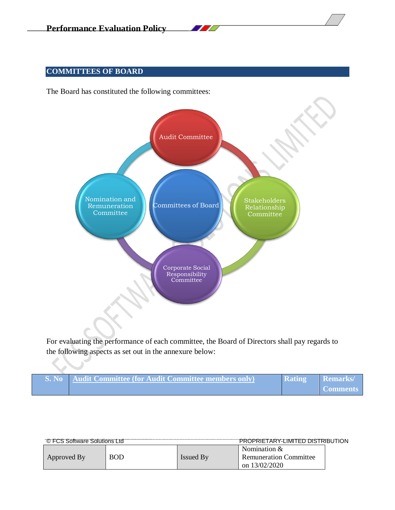# **COMMITTEES OF BOARD**

The Board has constituted the following committees:



For evaluating the performance of each committee, the Board of Directors shall pay regards to the following aspects as set out in the annexure below:

| S. No Audit Committee (for Audit Committee members only) | Rating | Remarks/        |
|----------------------------------------------------------|--------|-----------------|
|                                                          |        | <b>Comments</b> |

| "© FCS Software Solutions Ltd"" |     |                                     | "PROPRIETARY-LIMITED DISTRIBUTION |  |
|---------------------------------|-----|-------------------------------------|-----------------------------------|--|
|                                 |     | Nomination $\&$<br><b>Issued By</b> |                                   |  |
| Approved By                     | BOD |                                     | <b>Remuneration Committee</b>     |  |
|                                 |     |                                     | on $13/02/2020$                   |  |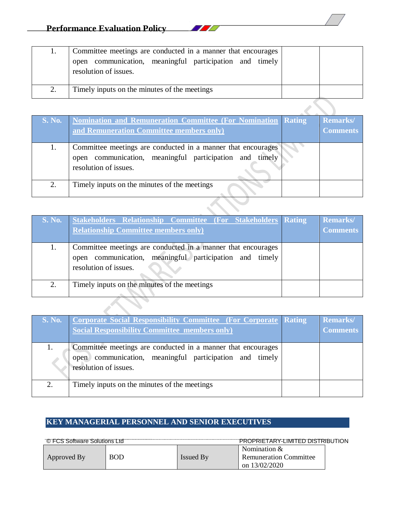|    | Committee meetings are conducted in a manner that encourages<br>communication, meaningful participation and timely<br>open<br>resolution of issues. |  |
|----|-----------------------------------------------------------------------------------------------------------------------------------------------------|--|
| 2. | Timely inputs on the minutes of the meetings                                                                                                        |  |

**SEC** 

| <b>S. No.</b> | <b>Nomination and Remuneration Committee (For Nomination)</b><br>and Remuneration Committee members only)                                           | Rating | <b>Remarks</b> /<br><b>Comments</b> |
|---------------|-----------------------------------------------------------------------------------------------------------------------------------------------------|--------|-------------------------------------|
| 1.            | Committee meetings are conducted in a manner that encourages<br>communication, meaningful participation and timely<br>open<br>resolution of issues. |        |                                     |
| 2.            | Timely inputs on the minutes of the meetings                                                                                                        |        |                                     |
|               |                                                                                                                                                     |        |                                     |

| <b>S. No.</b> | <b>Stakeholders Relationship Committee (For Stakeholders Rating)</b><br><b>Relationship Committee members only)</b>                                 | <b>Remarks</b> /<br><b>Comments</b> |
|---------------|-----------------------------------------------------------------------------------------------------------------------------------------------------|-------------------------------------|
|               | Committee meetings are conducted in a manner that encourages<br>communication, meaningful participation and timely<br>open<br>resolution of issues. |                                     |
| 2.            | Timely inputs on the minutes of the meetings                                                                                                        |                                     |

| <b>S. No.</b> | Corporate Social Responsibility Committee (For Corporate Rating<br><b>Social Responsibility Committee members only)</b>                          | <b>Remarks</b> /<br><b>Comments</b> |
|---------------|--------------------------------------------------------------------------------------------------------------------------------------------------|-------------------------------------|
| 1.            | Committee meetings are conducted in a manner that encourages<br>open communication, meaningful participation and timely<br>resolution of issues. |                                     |
| 2.            | Timely inputs on the minutes of the meetings                                                                                                     |                                     |

# **KEY MANAGERIAL PERSONNEL AND SENIOR EXECUTIVES**

| C FCS Software Solutions Ltd |     |                                    | "PROPRIETARY-LIMITED DISTRIBUTION |  |
|------------------------------|-----|------------------------------------|-----------------------------------|--|
|                              |     | Nomination $&$<br><b>Issued By</b> |                                   |  |
| Approved By                  | BOD |                                    | <b>Remuneration Committee</b>     |  |
|                              |     |                                    | on $13/02/2020$                   |  |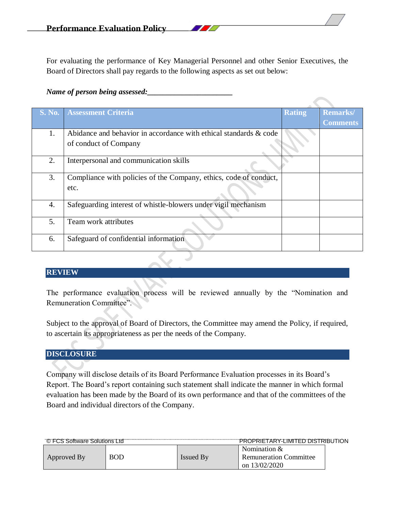For evaluating the performance of Key Managerial Personnel and other Senior Executives, the Board of Directors shall pay regards to the following aspects as set out below:

**START** 

#### *Name of person being assessed:*

| <b>S. No.</b> | <b>Assessment Criteria</b>                                        | <b>Rating</b> | <b>Remarks/</b> |
|---------------|-------------------------------------------------------------------|---------------|-----------------|
|               |                                                                   |               | <b>Comments</b> |
| 1.            | Abidance and behavior in accordance with ethical standards & code |               |                 |
|               | of conduct of Company                                             |               |                 |
| 2.            | Interpersonal and communication skills                            |               |                 |
| 3.            | Compliance with policies of the Company, ethics, code of conduct, |               |                 |
|               | etc.                                                              |               |                 |
| 4.            | Safeguarding interest of whistle-blowers under vigil mechanism    |               |                 |
| 5.            | Team work attributes                                              |               |                 |
| 6.            | Safeguard of confidential information                             |               |                 |

# **REVIEW**

The performance evaluation process will be reviewed annually by the "Nomination and Remuneration Committee".

Subject to the approval of Board of Directors, the Committee may amend the Policy, if required, to ascertain its appropriateness as per the needs of the Company.

# **DISCLOSURE**

Company will disclose details of its Board Performance Evaluation processes in its Board's Report. The Board's report containing such statement shall indicate the manner in which formal evaluation has been made by the Board of its own performance and that of the committees of the Board and individual directors of the Company.

| C FCS Software Solutions Ltd |     |                  | "PROPRIETARY-LIMITED DISTRIBUTION                                  |  |
|------------------------------|-----|------------------|--------------------------------------------------------------------|--|
| Approved By                  | BOD | <b>Issued By</b> | Nomination $&$<br><b>Remuneration Committee</b><br>on $13/02/2020$ |  |